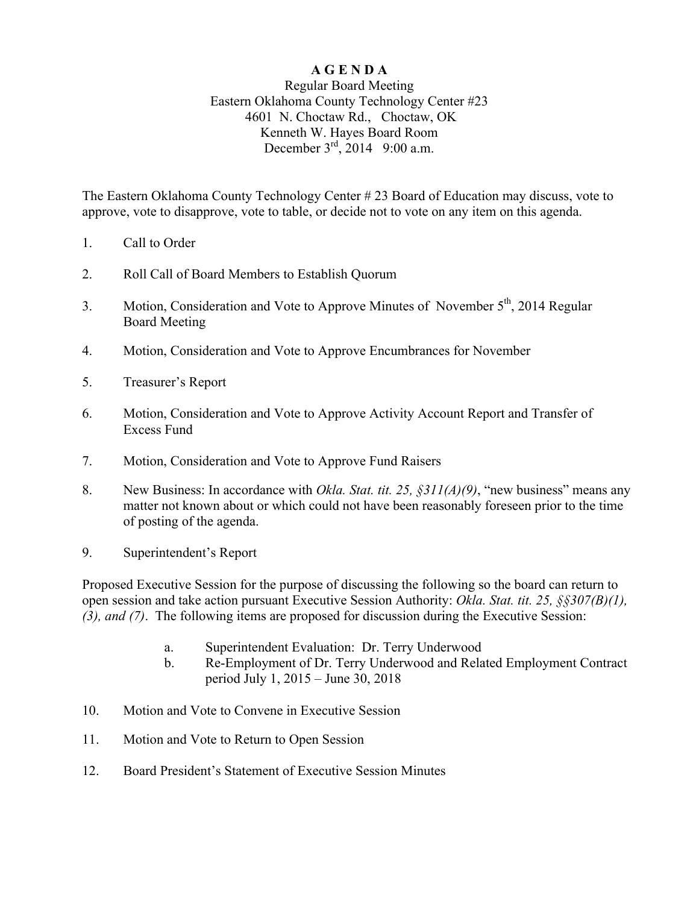## **A G E N D A**

## Regular Board Meeting Eastern Oklahoma County Technology Center #23 4601 N. Choctaw Rd., Choctaw, OK Kenneth W. Hayes Board Room December  $3^{rd}$ , 2014 9:00 a.m.

The Eastern Oklahoma County Technology Center # 23 Board of Education may discuss, vote to approve, vote to disapprove, vote to table, or decide not to vote on any item on this agenda.

- 1. Call to Order
- 2. Roll Call of Board Members to Establish Quorum
- 3. Motion, Consideration and Vote to Approve Minutes of November 5<sup>th</sup>, 2014 Regular Board Meeting
- 4. Motion, Consideration and Vote to Approve Encumbrances for November
- 5. Treasurer's Report
- 6. Motion, Consideration and Vote to Approve Activity Account Report and Transfer of Excess Fund
- 7. Motion, Consideration and Vote to Approve Fund Raisers
- 8. New Business: In accordance with *Okla. Stat. tit. 25, §311(A)(9)*, "new business" means any matter not known about or which could not have been reasonably foreseen prior to the time of posting of the agenda.
- 9. Superintendent's Report

Proposed Executive Session for the purpose of discussing the following so the board can return to open session and take action pursuant Executive Session Authority: *Okla. Stat. tit. 25, §§307(B)(1), (3), and (7)*. The following items are proposed for discussion during the Executive Session:

- a. Superintendent Evaluation: Dr. Terry Underwood
- b. Re-Employment of Dr. Terry Underwood and Related Employment Contract period July 1, 2015 – June 30, 2018
- 10. Motion and Vote to Convene in Executive Session
- 11. Motion and Vote to Return to Open Session
- 12. Board President's Statement of Executive Session Minutes